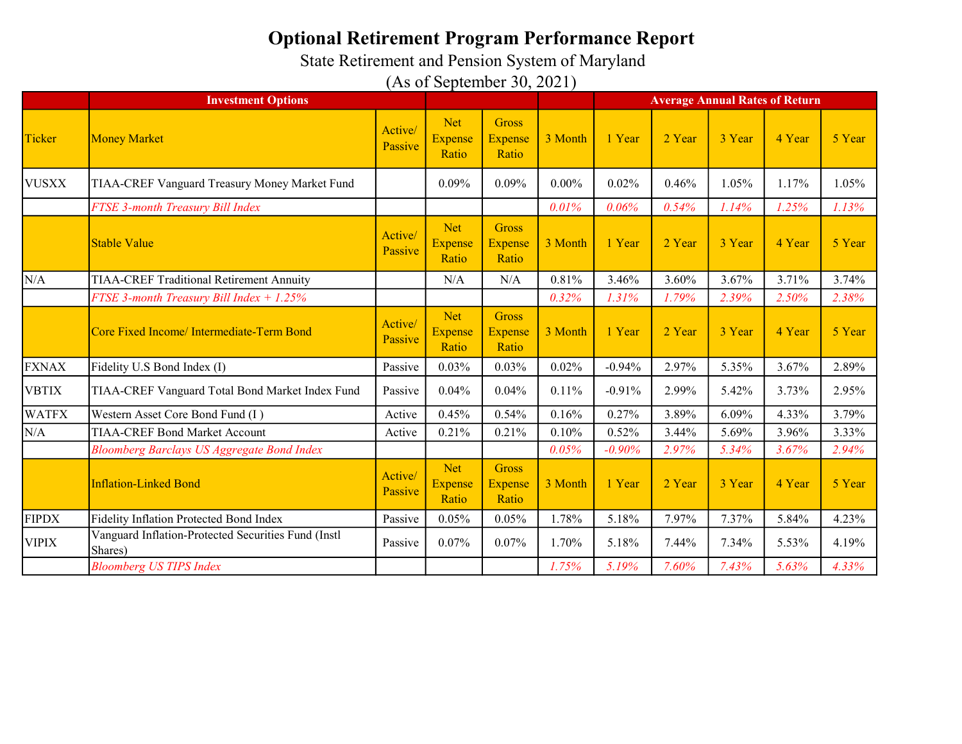State Retirement and Pension System of Maryland

|              | <b>Investment Options</b>                                      |                    |                                       |                                         | <b>Average Annual Rates of Return</b> |          |        |        |        |        |
|--------------|----------------------------------------------------------------|--------------------|---------------------------------------|-----------------------------------------|---------------------------------------|----------|--------|--------|--------|--------|
| Ticker       | <b>Money Market</b>                                            | Active/<br>Passive | <b>Net</b><br><b>Expense</b><br>Ratio | <b>Gross</b><br><b>Expense</b><br>Ratio | 3 Month                               | 1 Year   | 2 Year | 3 Year | 4 Year | 5 Year |
| <b>VUSXX</b> | TIAA-CREF Vanguard Treasury Money Market Fund                  |                    | 0.09%                                 | 0.09%                                   | $0.00\%$                              | 0.02%    | 0.46%  | 1.05%  | 1.17%  | 1.05%  |
|              | FTSE 3-month Treasury Bill Index                               |                    |                                       |                                         | 0.01%                                 | 0.06%    | 0.54%  | 1.14%  | 1.25%  | 1.13%  |
|              | <b>Stable Value</b>                                            | Active/<br>Passive | <b>Net</b><br><b>Expense</b><br>Ratio | <b>Gross</b><br><b>Expense</b><br>Ratio | 3 Month                               | 1 Year   | 2 Year | 3 Year | 4 Year | 5 Year |
| N/A          | <b>TIAA-CREF Traditional Retirement Annuity</b>                |                    | N/A                                   | N/A                                     | 0.81%                                 | 3.46%    | 3.60%  | 3.67%  | 3.71%  | 3.74%  |
|              | FTSE 3-month Treasury Bill Index + 1.25%                       |                    |                                       |                                         | 0.32%                                 | 1.31%    | 1.79%  | 2.39%  | 2.50%  | 2.38%  |
|              | Core Fixed Income/ Intermediate-Term Bond                      | Active/<br>Passive | <b>Net</b><br><b>Expense</b><br>Ratio | <b>Gross</b><br><b>Expense</b><br>Ratio | 3 Month                               | 1 Year   | 2 Year | 3 Year | 4 Year | 5 Year |
| <b>FXNAX</b> | Fidelity U.S Bond Index (I)                                    | Passive            | 0.03%                                 | 0.03%                                   | 0.02%                                 | $-0.94%$ | 2.97%  | 5.35%  | 3.67%  | 2.89%  |
| <b>VBTIX</b> | TIAA-CREF Vanguard Total Bond Market Index Fund                | Passive            | 0.04%                                 | 0.04%                                   | 0.11%                                 | $-0.91%$ | 2.99%  | 5.42%  | 3.73%  | 2.95%  |
| <b>WATFX</b> | Western Asset Core Bond Fund (I)                               | Active             | 0.45%                                 | 0.54%                                   | 0.16%                                 | 0.27%    | 3.89%  | 6.09%  | 4.33%  | 3.79%  |
| N/A          | <b>TIAA-CREF Bond Market Account</b>                           | Active             | 0.21%                                 | 0.21%                                   | 0.10%                                 | 0.52%    | 3.44%  | 5.69%  | 3.96%  | 3.33%  |
|              | <b>Bloomberg Barclays US Aggregate Bond Index</b>              |                    |                                       |                                         | 0.05%                                 | $-0.90%$ | 2.97%  | 5.34%  | 3.67%  | 2.94%  |
|              | <b>Inflation-Linked Bond</b>                                   | Active/<br>Passive | <b>Net</b><br><b>Expense</b><br>Ratio | <b>Gross</b><br><b>Expense</b><br>Ratio | 3 Month                               | 1 Year   | 2 Year | 3 Year | 4 Year | 5 Year |
| <b>FIPDX</b> | Fidelity Inflation Protected Bond Index                        | Passive            | 0.05%                                 | 0.05%                                   | 1.78%                                 | 5.18%    | 7.97%  | 7.37%  | 5.84%  | 4.23%  |
| <b>VIPIX</b> | Vanguard Inflation-Protected Securities Fund (Instl<br>Shares) | Passive            | 0.07%                                 | 0.07%                                   | 1.70%                                 | 5.18%    | 7.44%  | 7.34%  | 5.53%  | 4.19%  |
|              | <b>Bloomberg US TIPS Index</b>                                 |                    |                                       |                                         | 1.75%                                 | 5.19%    | 7.60%  | 7.43%  | 5.63%  | 4.33%  |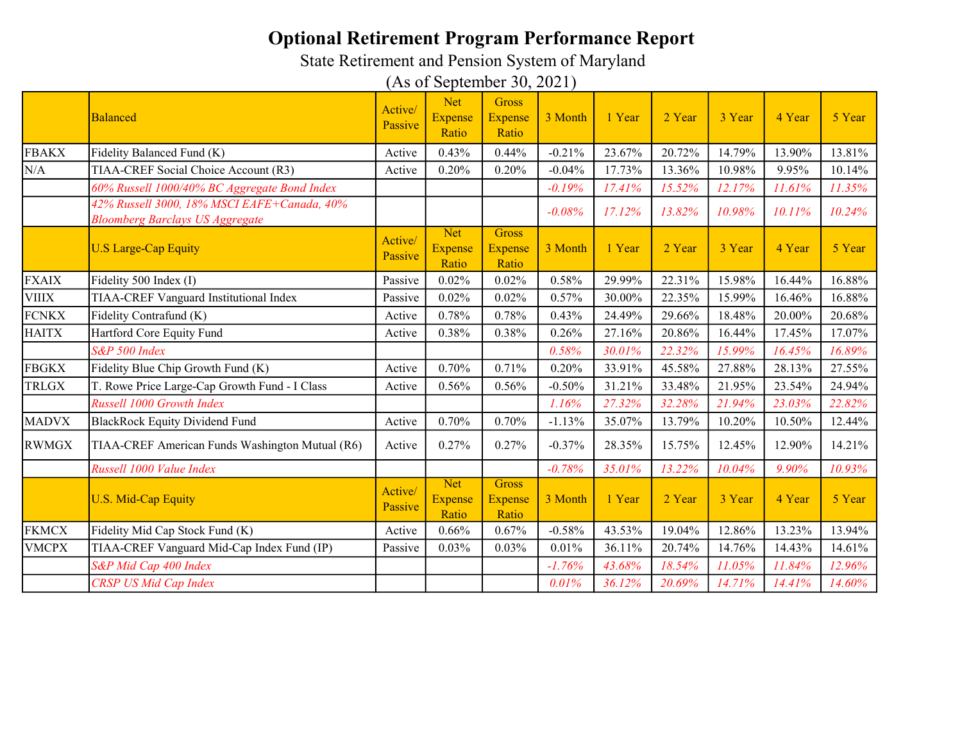State Retirement and Pension System of Maryland

|              | <b>Balanced</b>                                                                       | Active/<br>Passive | <b>Net</b><br><b>Expense</b><br>Ratio | <b>Gross</b><br><b>Expense</b><br>Ratio | 3 Month  | 1 Year | 2 Year | 3 Year | 4 Year | 5 Year |
|--------------|---------------------------------------------------------------------------------------|--------------------|---------------------------------------|-----------------------------------------|----------|--------|--------|--------|--------|--------|
| <b>FBAKX</b> | Fidelity Balanced Fund (K)                                                            | Active             | 0.43%                                 | 0.44%                                   | $-0.21%$ | 23.67% | 20.72% | 14.79% | 13.90% | 13.81% |
| N/A          | TIAA-CREF Social Choice Account (R3)                                                  | Active             | 0.20%                                 | 0.20%                                   | $-0.04%$ | 17.73% | 13.36% | 10.98% | 9.95%  | 10.14% |
|              | 60% Russell 1000/40% BC Aggregate Bond Index                                          |                    |                                       |                                         | $-0.19%$ | 17.41% | 15.52% | 12.17% | 11.61% | 11.35% |
|              | 42% Russell 3000, 18% MSCI EAFE+Canada, 40%<br><b>Bloomberg Barclays US Aggregate</b> |                    |                                       |                                         | $-0.08%$ | 17.12% | 13.82% | 10.98% | 10.11% | 10.24% |
|              | <b>U.S Large-Cap Equity</b>                                                           | Active/<br>Passive | <b>Net</b><br><b>Expense</b><br>Ratio | <b>Gross</b><br><b>Expense</b><br>Ratio | 3 Month  | 1 Year | 2 Year | 3 Year | 4 Year | 5 Year |
| <b>FXAIX</b> | Fidelity 500 Index (I)                                                                | Passive            | 0.02%                                 | 0.02%                                   | 0.58%    | 29.99% | 22.31% | 15.98% | 16.44% | 16.88% |
| <b>VIIIX</b> | TIAA-CREF Vanguard Institutional Index                                                | Passive            | 0.02%                                 | 0.02%                                   | 0.57%    | 30.00% | 22.35% | 15.99% | 16.46% | 16.88% |
| <b>FCNKX</b> | Fidelity Contrafund (K)                                                               | Active             | 0.78%                                 | 0.78%                                   | 0.43%    | 24.49% | 29.66% | 18.48% | 20.00% | 20.68% |
| <b>HAITX</b> | Hartford Core Equity Fund                                                             | Active             | 0.38%                                 | 0.38%                                   | 0.26%    | 27.16% | 20.86% | 16.44% | 17.45% | 17.07% |
|              | S&P 500 Index                                                                         |                    |                                       |                                         | 0.58%    | 30.01% | 22.32% | 15.99% | 16.45% | 16.89% |
| <b>FBGKX</b> | Fidelity Blue Chip Growth Fund (K)                                                    | Active             | 0.70%                                 | 0.71%                                   | 0.20%    | 33.91% | 45.58% | 27.88% | 28.13% | 27.55% |
| <b>TRLGX</b> | T. Rowe Price Large-Cap Growth Fund - I Class                                         | Active             | 0.56%                                 | 0.56%                                   | $-0.50%$ | 31.21% | 33.48% | 21.95% | 23.54% | 24.94% |
|              | Russell 1000 Growth Index                                                             |                    |                                       |                                         | 1.16%    | 27.32% | 32.28% | 21.94% | 23.03% | 22.82% |
| <b>MADVX</b> | <b>BlackRock Equity Dividend Fund</b>                                                 | Active             | 0.70%                                 | 0.70%                                   | $-1.13%$ | 35.07% | 13.79% | 10.20% | 10.50% | 12.44% |
| <b>RWMGX</b> | TIAA-CREF American Funds Washington Mutual (R6)                                       | Active             | 0.27%                                 | 0.27%                                   | $-0.37%$ | 28.35% | 15.75% | 12.45% | 12.90% | 14.21% |
|              | Russell 1000 Value Index                                                              |                    |                                       |                                         | $-0.78%$ | 35.01% | 13.22% | 10.04% | 9.90%  | 10.93% |
|              | <b>U.S. Mid-Cap Equity</b>                                                            | Active/<br>Passive | <b>Net</b><br><b>Expense</b><br>Ratio | <b>Gross</b><br><b>Expense</b><br>Ratio | 3 Month  | 1 Year | 2 Year | 3 Year | 4 Year | 5 Year |
| <b>FKMCX</b> | Fidelity Mid Cap Stock Fund (K)                                                       | Active             | 0.66%                                 | 0.67%                                   | $-0.58%$ | 43.53% | 19.04% | 12.86% | 13.23% | 13.94% |
| <b>VMCPX</b> | TIAA-CREF Vanguard Mid-Cap Index Fund (IP)                                            | Passive            | 0.03%                                 | 0.03%                                   | 0.01%    | 36.11% | 20.74% | 14.76% | 14.43% | 14.61% |
|              | S&P Mid Cap 400 Index                                                                 |                    |                                       |                                         | $-1.76%$ | 43.68% | 18.54% | 11.05% | 11.84% | 12.96% |
|              | <b>CRSP US Mid Cap Index</b>                                                          |                    |                                       |                                         | 0.01%    | 36.12% | 20.69% | 14.71% | 14.41% | 14.60% |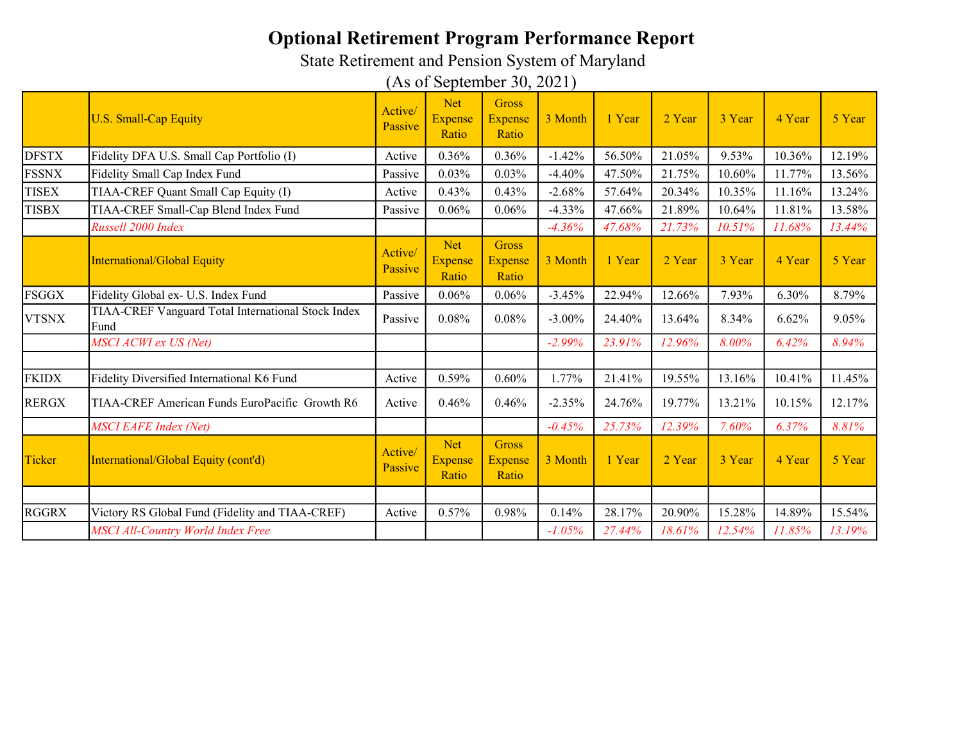State Retirement and Pension System of Maryland

|              | <b>U.S. Small-Cap Equity</b>                               | Active/<br>Passive | <b>Net</b><br><b>Expense</b><br>Ratio | Gross<br><b>Expense</b><br>Ratio | 3 Month   | 1 Year | 2 Year | 3 Year | 4 Year | 5 Year |
|--------------|------------------------------------------------------------|--------------------|---------------------------------------|----------------------------------|-----------|--------|--------|--------|--------|--------|
| <b>DFSTX</b> | Fidelity DFA U.S. Small Cap Portfolio (I)                  | Active             | 0.36%                                 | 0.36%                            | $-1.42%$  | 56.50% | 21.05% | 9.53%  | 10.36% | 12.19% |
| <b>FSSNX</b> | Fidelity Small Cap Index Fund                              | Passive            | 0.03%                                 | 0.03%                            | $-4.40%$  | 47.50% | 21.75% | 10.60% | 11.77% | 13.56% |
| <b>TISEX</b> | TIAA-CREF Quant Small Cap Equity (I)                       | Active             | 0.43%                                 | 0.43%                            | $-2.68%$  | 57.64% | 20.34% | 10.35% | 11.16% | 13.24% |
| <b>TISBX</b> | TIAA-CREF Small-Cap Blend Index Fund                       | Passive            | 0.06%                                 | 0.06%                            | $-4.33%$  | 47.66% | 21.89% | 10.64% | 11.81% | 13.58% |
|              | Russell 2000 Index                                         |                    |                                       |                                  | $-4.36%$  | 47.68% | 21.73% | 10.51% | 11.68% | 13.44% |
|              | <b>International/Global Equity</b>                         | Active/<br>Passive | <b>Net</b><br><b>Expense</b><br>Ratio | Gross<br><b>Expense</b><br>Ratio | 3 Month   | 1 Year | 2 Year | 3 Year | 4 Year | 5 Year |
| <b>FSGGX</b> | Fidelity Global ex- U.S. Index Fund                        | Passive            | 0.06%                                 | 0.06%                            | $-3.45%$  | 22.94% | 12.66% | 7.93%  | 6.30%  | 8.79%  |
| <b>VTSNX</b> | TIAA-CREF Vanguard Total International Stock Index<br>Fund | Passive            | 0.08%                                 | $0.08\%$                         | $-3.00\%$ | 24.40% | 13.64% | 8.34%  | 6.62%  | 9.05%  |
|              | MSCI ACWI ex US (Net)                                      |                    |                                       |                                  | $-2.99%$  | 23.91% | 12.96% | 8.00%  | 6.42%  | 8.94%  |
| <b>FKIDX</b> | Fidelity Diversified International K6 Fund                 | Active             | 0.59%                                 | 0.60%                            | 1.77%     | 21.41% | 19.55% | 13.16% | 10.41% | 11.45% |
|              |                                                            |                    |                                       |                                  |           |        |        |        |        |        |
| <b>RERGX</b> | TIAA-CREF American Funds EuroPacific Growth R6             | Active             | 0.46%                                 | 0.46%                            | $-2.35%$  | 24.76% | 19.77% | 13.21% | 10.15% | 12.17% |
|              | <b>MSCI EAFE Index (Net)</b>                               |                    |                                       |                                  | $-0.45%$  | 25.73% | 12.39% | 7.60%  | 6.37%  | 8.81%  |
| Ticker       | International/Global Equity (cont'd)                       | Active/<br>Passive | <b>Net</b><br><b>Expense</b><br>Ratio | Gross<br><b>Expense</b><br>Ratio | 3 Month   | 1 Year | 2 Year | 3 Year | 4 Year | 5 Year |
|              |                                                            |                    |                                       |                                  |           |        |        |        |        |        |
| <b>RGGRX</b> | Victory RS Global Fund (Fidelity and TIAA-CREF)            | Active             | 0.57%                                 | 0.98%                            | 0.14%     | 28.17% | 20.90% | 15.28% | 14.89% | 15.54% |
|              | MSCI All-Country World Index Free                          |                    |                                       |                                  | $-1.05%$  | 27.44% | 18.61% | 12.54% | 11.85% | 13.19% |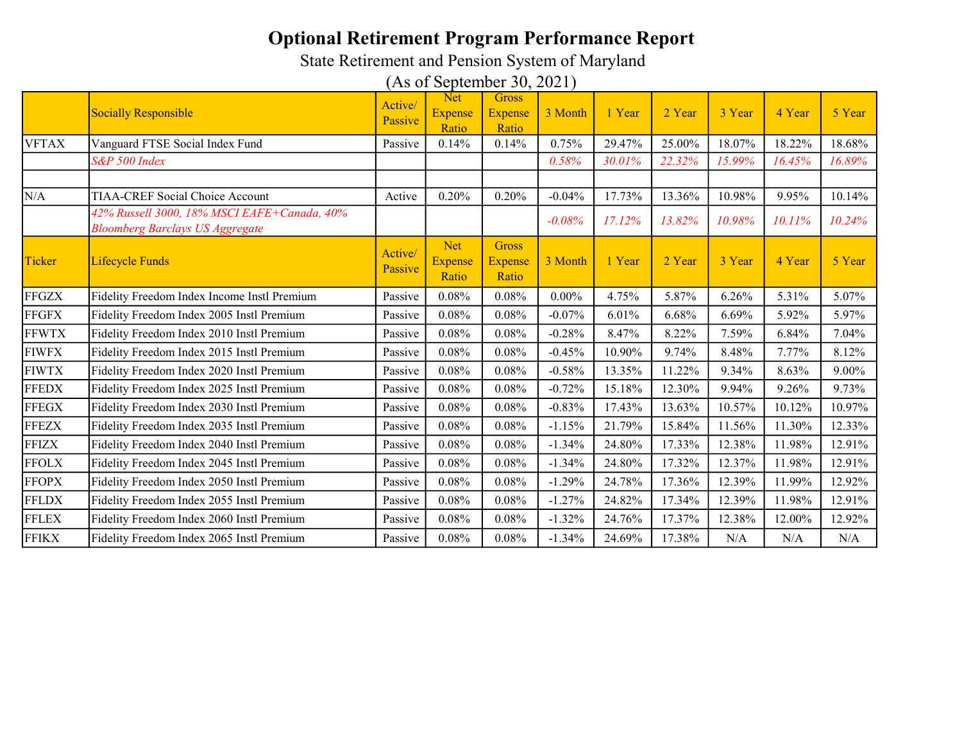State Retirement and Pension System of Maryland

|              | <b>Socially Responsible</b>                                                           | Active/<br>Passive | <b>Net</b><br><b>Expense</b><br>Ratio | Gross<br><b>Expense</b><br>Ratio        | 3 Month  | 1 Year | 2 Year | 3 Year | 4 Year | 5 Year |
|--------------|---------------------------------------------------------------------------------------|--------------------|---------------------------------------|-----------------------------------------|----------|--------|--------|--------|--------|--------|
| <b>VFTAX</b> | Vanguard FTSE Social Index Fund                                                       | Passive            | 0.14%                                 | 0.14%                                   | 0.75%    | 29.47% | 25.00% | 18.07% | 18.22% | 18.68% |
|              | S&P 500 Index                                                                         |                    |                                       |                                         | 0.58%    | 30.01% | 22.32% | 15.99% | 16.45% | 16.89% |
|              |                                                                                       |                    |                                       |                                         |          |        |        |        |        |        |
| N/A          | <b>TIAA-CREF Social Choice Account</b>                                                | Active             | 0.20%                                 | 0.20%                                   | $-0.04%$ | 17.73% | 13.36% | 10.98% | 9.95%  | 10.14% |
|              | 42% Russell 3000, 18% MSCI EAFE+Canada, 40%<br><b>Bloomberg Barclays US Aggregate</b> |                    |                                       |                                         | $-0.08%$ | 17.12% | 13.82% | 10.98% | 10.11% | 10.24% |
| Ticker       | <b>Lifecycle Funds</b>                                                                | Active/<br>Passive | <b>Net</b><br><b>Expense</b><br>Ratio | <b>Gross</b><br><b>Expense</b><br>Ratio | 3 Month  | 1 Year | 2 Year | 3 Year | 4 Year | 5 Year |
| <b>FFGZX</b> | Fidelity Freedom Index Income Instl Premium                                           | Passive            | 0.08%                                 | 0.08%                                   | $0.00\%$ | 4.75%  | 5.87%  | 6.26%  | 5.31%  | 5.07%  |
| <b>FFGFX</b> | Fidelity Freedom Index 2005 Instl Premium                                             | Passive            | 0.08%                                 | 0.08%                                   | $-0.07%$ | 6.01%  | 6.68%  | 6.69%  | 5.92%  | 5.97%  |
| <b>FFWTX</b> | Fidelity Freedom Index 2010 Instl Premium                                             | Passive            | 0.08%                                 | 0.08%                                   | $-0.28%$ | 8.47%  | 8.22%  | 7.59%  | 6.84%  | 7.04%  |
| <b>FIWFX</b> | Fidelity Freedom Index 2015 Instl Premium                                             | Passive            | 0.08%                                 | 0.08%                                   | $-0.45%$ | 10.90% | 9.74%  | 8.48%  | 7.77%  | 8.12%  |
| <b>FIWTX</b> | Fidelity Freedom Index 2020 Instl Premium                                             | Passive            | 0.08%                                 | 0.08%                                   | $-0.58%$ | 13.35% | 11.22% | 9.34%  | 8.63%  | 9.00%  |
| <b>FFEDX</b> | Fidelity Freedom Index 2025 Instl Premium                                             | Passive            | 0.08%                                 | 0.08%                                   | $-0.72%$ | 15.18% | 12.30% | 9.94%  | 9.26%  | 9.73%  |
| <b>FFEGX</b> | Fidelity Freedom Index 2030 Instl Premium                                             | Passive            | 0.08%                                 | 0.08%                                   | $-0.83%$ | 17.43% | 13.63% | 10.57% | 10.12% | 10.97% |
| <b>FFEZX</b> | Fidelity Freedom Index 2035 Instl Premium                                             | Passive            | 0.08%                                 | 0.08%                                   | $-1.15%$ | 21.79% | 15.84% | 11.56% | 11.30% | 12.33% |
| <b>FFIZX</b> | Fidelity Freedom Index 2040 Instl Premium                                             | Passive            | 0.08%                                 | 0.08%                                   | $-1.34%$ | 24.80% | 17.33% | 12.38% | 11.98% | 12.91% |
| <b>FFOLX</b> | Fidelity Freedom Index 2045 Instl Premium                                             | Passive            | 0.08%                                 | 0.08%                                   | $-1.34%$ | 24.80% | 17.32% | 12.37% | 11.98% | 12.91% |
| <b>FFOPX</b> | Fidelity Freedom Index 2050 Instl Premium                                             | Passive            | 0.08%                                 | 0.08%                                   | $-1.29%$ | 24.78% | 17.36% | 12.39% | 11.99% | 12.92% |
| <b>FFLDX</b> | Fidelity Freedom Index 2055 Instl Premium                                             | Passive            | 0.08%                                 | 0.08%                                   | $-1.27%$ | 24.82% | 17.34% | 12.39% | 11.98% | 12.91% |
| <b>FFLEX</b> | Fidelity Freedom Index 2060 Instl Premium                                             | Passive            | 0.08%                                 | 0.08%                                   | $-1.32%$ | 24.76% | 17.37% | 12.38% | 12.00% | 12.92% |
| <b>FFIKX</b> | Fidelity Freedom Index 2065 Instl Premium                                             | Passive            | 0.08%                                 | 0.08%                                   | $-1.34%$ | 24.69% | 17.38% | N/A    | N/A    | N/A    |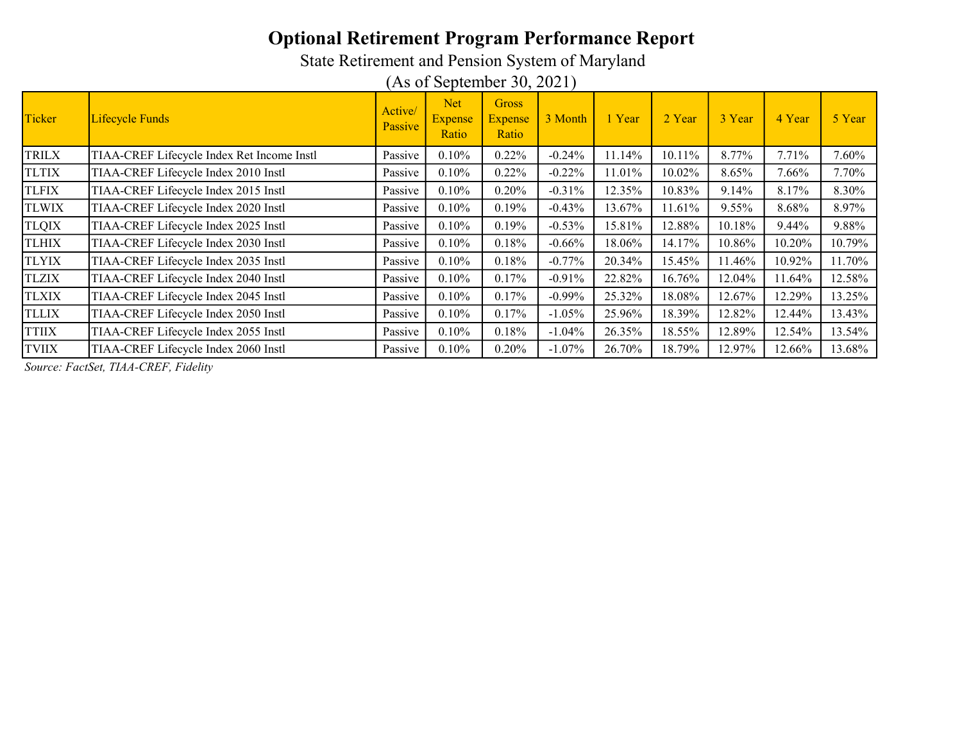State Retirement and Pension System of Maryland

(As of September 30, 2021)

| Ticker       | Lifecycle Funds                            | Active/<br>Passive | <b>Net</b><br><b>Expense</b><br>Ratio | <b>Gross</b><br><b>Expense</b><br>Ratio | 3 Month   | 1 Year | 2 Year | 3 Year   | 4 Year | 5 Year   |
|--------------|--------------------------------------------|--------------------|---------------------------------------|-----------------------------------------|-----------|--------|--------|----------|--------|----------|
| <b>TRILX</b> | TIAA-CREF Lifecycle Index Ret Income Instl | Passive            | 0.10%                                 | 0.22%                                   | $-0.24%$  | 11.14% | 10.11% | 8.77%    | 7.71%  | 7.60%    |
| <b>TLTIX</b> | TIAA-CREF Lifecycle Index 2010 Instl       | Passive            | 0.10%                                 | 0.22%                                   | $-0.22%$  | 11.01% | 10.02% | 8.65%    | 7.66%  | $7.70\%$ |
| <b>TLFIX</b> | TIAA-CREF Lifecycle Index 2015 Instl       | Passive            | 0.10%                                 | 0.20%                                   | $-0.31%$  | 12.35% | 10.83% | $9.14\%$ | 8.17%  | 8.30%    |
| <b>TLWIX</b> | TIAA-CREF Lifecycle Index 2020 Instl       | Passive            | 0.10%                                 | 0.19%                                   | $-0.43%$  | 13.67% | 11.61% | 9.55%    | 8.68%  | 8.97%    |
| <b>TLQIX</b> | TIAA-CREF Lifecycle Index 2025 Instl       | Passive            | 0.10%                                 | 0.19%                                   | $-0.53%$  | 15.81% | 12.88% | 10.18%   | 9.44%  | 9.88%    |
| <b>TLHIX</b> | TIAA-CREF Lifecycle Index 2030 Instl       | Passive            | 0.10%                                 | 0.18%                                   | $-0.66%$  | 18.06% | 14.17% | 10.86%   | 10.20% | 10.79%   |
| <b>TLYIX</b> | TIAA-CREF Lifecycle Index 2035 Instl       | Passive            | 0.10%                                 | 0.18%                                   | $-0.77%$  | 20.34% | 15.45% | 11.46%   | 10.92% | 11.70%   |
| <b>TLZIX</b> | TIAA-CREF Lifecycle Index 2040 Instl       | Passive            | 0.10%                                 | 0.17%                                   | $-0.91%$  | 22.82% | 16.76% | 12.04%   | 11.64% | 12.58%   |
| <b>TLXIX</b> | TIAA-CREF Lifecycle Index 2045 Instl       | Passive            | 0.10%                                 | 0.17%                                   | $-0.99%$  | 25.32% | 18.08% | 12.67%   | 12.29% | 13.25%   |
| <b>TLLIX</b> | TIAA-CREF Lifecycle Index 2050 Instl       | Passive            | 0.10%                                 | 0.17%                                   | $-1.05%$  | 25.96% | 18.39% | 12.82%   | 12.44% | 13.43%   |
| <b>TTIIX</b> | TIAA-CREF Lifecycle Index 2055 Instl       | Passive            | 0.10%                                 | 0.18%                                   | $-1.04\%$ | 26.35% | 18.55% | 12.89%   | 12.54% | 13.54%   |
| <b>TVIIX</b> | TIAA-CREF Lifecycle Index 2060 Instl       | Passive            | 0.10%                                 | 0.20%                                   | $-1.07%$  | 26.70% | 18.79% | 12.97%   | 12.66% | 13.68%   |

Source: FactSet, TIAA-CREF, Fidelity